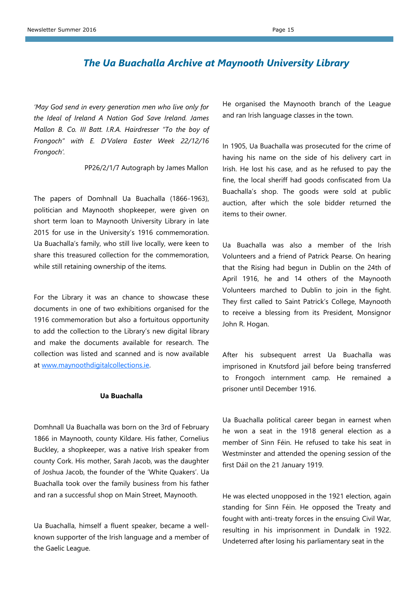## *The Ua Buachalla Archive at Maynooth University Library*

*'May God send in every generation men who live only for the Ideal of Ireland A Nation God Save Ireland. James Mallon B. Co. III Batt. I.R.A. Hairdresser "To the boy of Frongoch" with E. D'Valera Easter Week 22/12/16 Frongoch'.* 

PP26/2/1/7 Autograph by James Mallon

The papers of Domhnall Ua Buachalla (1866-1963), politician and Maynooth shopkeeper, were given on short term loan to Maynooth University Library in late 2015 for use in the University's 1916 commemoration. Ua Buachalla's family, who still live locally, were keen to share this treasured collection for the commemoration, while still retaining ownership of the items.

For the Library it was an chance to showcase these documents in one of two exhibitions organised for the 1916 commemoration but also a fortuitous opportunity to add the collection to the Library's new digital library and make the documents available for research. The collection was listed and scanned and is now available at [www.maynoothdigitalcollections.ie.](http://www.maynoothdigitalcollections.ie/)

## **Ua Buachalla**

Domhnall Ua Buachalla was born on the 3rd of February 1866 in Maynooth, county Kildare. His father, Cornelius Buckley, a shopkeeper, was a native Irish speaker from county Cork. His mother, Sarah Jacob, was the daughter of Joshua Jacob, the founder of the 'White Quakers'. Ua Buachalla took over the family business from his father and ran a successful shop on Main Street, Maynooth.

Ua Buachalla, himself a fluent speaker, became a wellknown supporter of the Irish language and a member of the Gaelic League.

He organised the Maynooth branch of the League and ran Irish language classes in the town.

In 1905, Ua Buachalla was prosecuted for the crime of having his name on the side of his delivery cart in Irish. He lost his case, and as he refused to pay the fine, the local sheriff had goods confiscated from Ua Buachalla's shop. The goods were sold at public auction, after which the sole bidder returned the items to their owner.

Ua Buachalla was also a member of the Irish Volunteers and a friend of Patrick Pearse. On hearing that the Rising had begun in Dublin on the 24th of April 1916, he and 14 others of the Maynooth Volunteers marched to Dublin to join in the fight. They first called to Saint Patrick's College, Maynooth to receive a blessing from its President, Monsignor John R. Hogan.

After his subsequent arrest Ua Buachalla was imprisoned in Knutsford jail before being transferred to Frongoch internment camp. He remained a prisoner until December 1916.

Ua Buachalla political career began in earnest when he won a seat in the 1918 general election as a member of Sinn Féin. He refused to take his seat in Westminster and attended the opening session of the first Dáil on the 21 January 1919.

He was elected unopposed in the 1921 election, again standing for Sinn Féin. He opposed the Treaty and fought with anti-treaty forces in the ensuing Civil War, resulting in his imprisonment in Dundalk in 1922. Undeterred after losing his parliamentary seat in the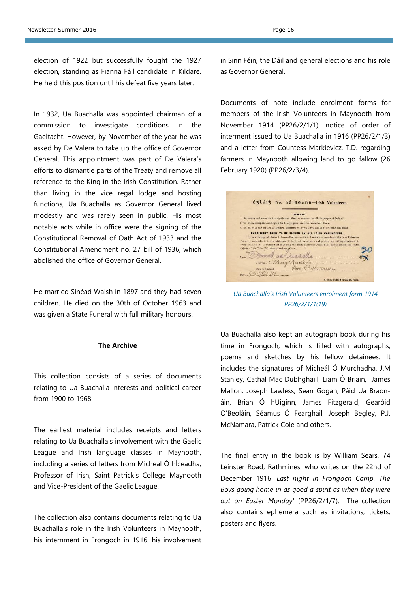election of 1922 but successfully fought the 1927 election, standing as Fianna Fáil candidate in Kildare. He held this position until his defeat five years later.

In 1932, Ua Buachalla was appointed chairman of a commission to investigate conditions in the Gaeltacht. However, by November of the year he was asked by De Valera to take up the office of Governor General. This appointment was part of De Valera's efforts to dismantle parts of the Treaty and remove all reference to the King in the Irish Constitution. Rather than living in the vice regal lodge and hosting functions, Ua Buachalla as Governor General lived modestly and was rarely seen in public. His most notable acts while in office were the signing of the Constitutional Removal of Oath Act of 1933 and the Constitutional Amendment no. 27 bill of 1936, which abolished the office of Governor General.

He married Sinéad Walsh in 1897 and they had seven children. He died on the 30th of October 1963 and was given a State Funeral with full military honours.

## **The Archive**

This collection consists of a series of documents relating to Ua Buachalla interests and political career from 1900 to 1968.

The earliest material includes receipts and letters relating to Ua Buachalla's involvement with the Gaelic League and Irish language classes in Maynooth, including a series of letters from Mícheal Ó hÍceadha, Professor of Irish, Saint Patrick's College Maynooth and Vice-President of the Gaelic League.

The collection also contains documents relating to Ua Buachalla's role in the Irish Volunteers in Maynooth, his internment in Frongoch in 1916, his involvement

Documents of note include enrolment forms for members of the Irish Volunteers in Maynooth from November 1914 (PP26/2/1/1), notice of order of interment issued to Ua Buachalla in 1916 (PP26/2/1/3) and a letter from Countess Markievicz, T.D. regarding farmers in Maynooth allowing land to go fallow (26 February 1920) (PP26/2/3/4).

| OSLÁIS na héineann-Irish Volunteers.                                                                    |
|---------------------------------------------------------------------------------------------------------|
|                                                                                                         |
| <b>OBJECTS.</b>                                                                                         |
| 1. To secure and maintain the rights and liberties common to all the people of Ireland.                 |
| 2. To train, discipline, and equip for this purpose an Irish Volunteer Force,                           |
| 3. To unite in the service of Ireland, Irishmen of every creed and of every party and class.            |
| ENROLMENT FORM TO BE SIGNED BY ALL IRISH VOLUNTEERS.                                                    |
| I, the undersigned, desire to be curolled for service in Ireland as a member of the Irish Volunteer     |
| Force. I subscribe to the constitution of the Irish Volunteers and pledge my willing obedience to       |
| every article of it. I declare that in joining the Irish Volunteer Force I set before myself the stated |
| objects of the Irish Volunteers, and no others.                                                         |
| Name.3                                                                                                  |
| Address 1 Muss Muss March 20                                                                            |
| City or District. Ogg $C_1U_2 \rightarrow a\omega_1$                                                    |
|                                                                                                         |
| P. Maken, Printer, 9 Taraball St., Public.                                                              |

*Ua Buachalla's Irish Volunteers enrolment form 1914 PP26/2/1/1(19)* 

Ua Buachalla also kept an autograph book during his time in Frongoch, which is filled with autographs, poems and sketches by his fellow detainees. It includes the signatures of Micheál Ó Murchadha, J.M Stanley, Cathal Mac Dubhghaill, Liam Ó Briain, James Mallon, Joseph Lawless, Sean Gogan, Páid Ua Braonáin, Brian Ó hUigínn, James Fitzgerald, Gearóid O'Beoláin, Séamus Ó Fearghail, Joseph Begley, P.J. McNamara, Patrick Cole and others.

The final entry in the book is by William Sears, 74 Leinster Road, Rathmines, who writes on the 22nd of December 1916 *'Last night in Frongoch Camp. The Boys going home in as good a spirit as when they were out on Easter Monday'* (PP26/2/1/7). The collection also contains ephemera such as invitations, tickets, posters and flyers.